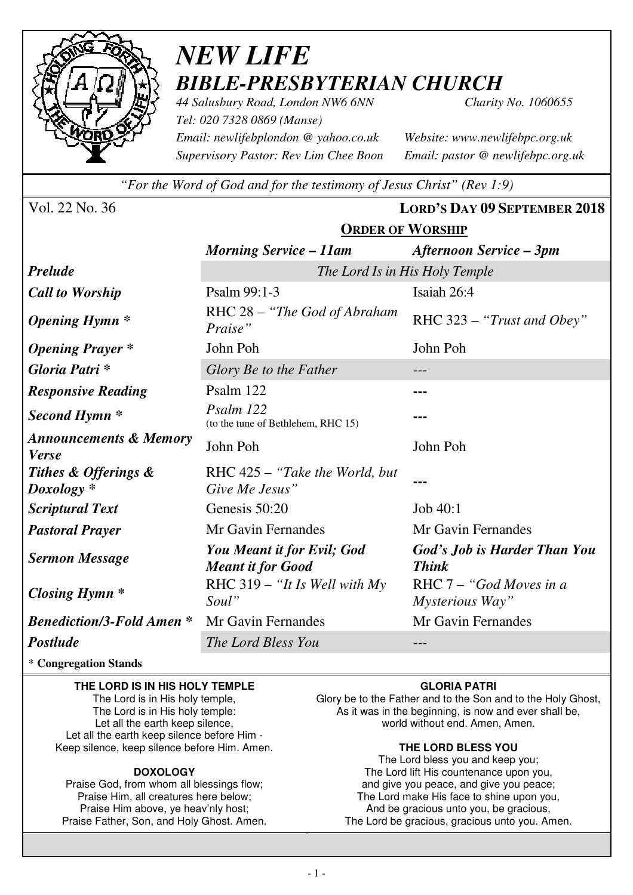

# *NEW LIFE BIBLE-PRESBYTERIAN CHURCH*

*44 Salusbury Road, London NW6 6NN Charity No. 1060655 Tel: 020 7328 0869 (Manse) Email: newlifebplondon @ yahoo.co.uk Website: www.newlifebpc.org.uk Supervisory Pastor: Rev Lim Chee Boon Email: pastor @ newlifebpc.org.uk* 

*"For the Word of God and for the testimony of Jesus Christ" (Rev 1:9)*

**ORDER OF WORSHIP**

Vol. 22 No. 36 **LORD'S DAY 09 SEPTEMBER 2018**

|                                                   | <b>Morning Service – 11am</b>                          | Afternoon Service – 3pm                      |  |
|---------------------------------------------------|--------------------------------------------------------|----------------------------------------------|--|
| <b>Prelude</b>                                    | The Lord Is in His Holy Temple                         |                                              |  |
| <b>Call to Worship</b>                            | Psalm 99:1-3                                           | Isaiah 26:4                                  |  |
| <b>Opening Hymn</b> *                             | RHC 28 - "The God of Abraham<br>Praise"                | RHC 323 - "Trust and Obey"                   |  |
| <b>Opening Prayer</b> *                           | John Poh                                               | John Poh                                     |  |
| Gloria Patri*                                     | Glory Be to the Father                                 |                                              |  |
| <b>Responsive Reading</b>                         | Psalm 122                                              |                                              |  |
| Second Hymn <sup>*</sup>                          | Psalm 122<br>(to the tune of Bethlehem, RHC 15)        |                                              |  |
| <b>Announcements &amp; Memory</b><br><b>Verse</b> | John Poh                                               | John Poh                                     |  |
| Tithes & Offerings &<br>$Doxology *$              | RHC $425 -$ "Take the World, but<br>Give Me Jesus"     |                                              |  |
| <b>Scriptural Text</b>                            | Genesis 50:20                                          | Job 40:1                                     |  |
| <b>Pastoral Prayer</b>                            | Mr Gavin Fernandes                                     | Mr Gavin Fernandes                           |  |
| <b>Sermon Message</b>                             | You Meant it for Evil; God<br><b>Meant it for Good</b> | God's Job is Harder Than You<br><b>Think</b> |  |
| <b>Closing Hymn</b> *                             | RHC $319 - "It$ Is Well with My<br>Soul"               | RHC 7 - "God Moves in a<br>Mysterious Way"   |  |
| <b>Benediction/3-Fold Amen*</b>                   | Mr Gavin Fernandes                                     | Mr Gavin Fernandes                           |  |
| Postlude                                          | The Lord Bless You                                     |                                              |  |

\* **Congregation Stands** 

### **THE LORD IS IN HIS HOLY TEMPLE**

The Lord is in His holy temple, The Lord is in His holy temple: Let all the earth keep silence, Let all the earth keep silence before Him - Keep silence, keep silence before Him. Amen.

### **DOXOLOGY**

Praise God, from whom all blessings flow; Praise Him, all creatures here below; Praise Him above, ye heav'nly host; Praise Father, Son, and Holy Ghost. Amen.

### **GLORIA PATRI**

Glory be to the Father and to the Son and to the Holy Ghost, As it was in the beginning, is now and ever shall be, world without end. Amen, Amen.

### **THE LORD BLESS YOU**

The Lord bless you and keep you; The Lord lift His countenance upon you, and give you peace, and give you peace; The Lord make His face to shine upon you, And be gracious unto you, be gracious, The Lord be gracious, gracious unto you. Amen.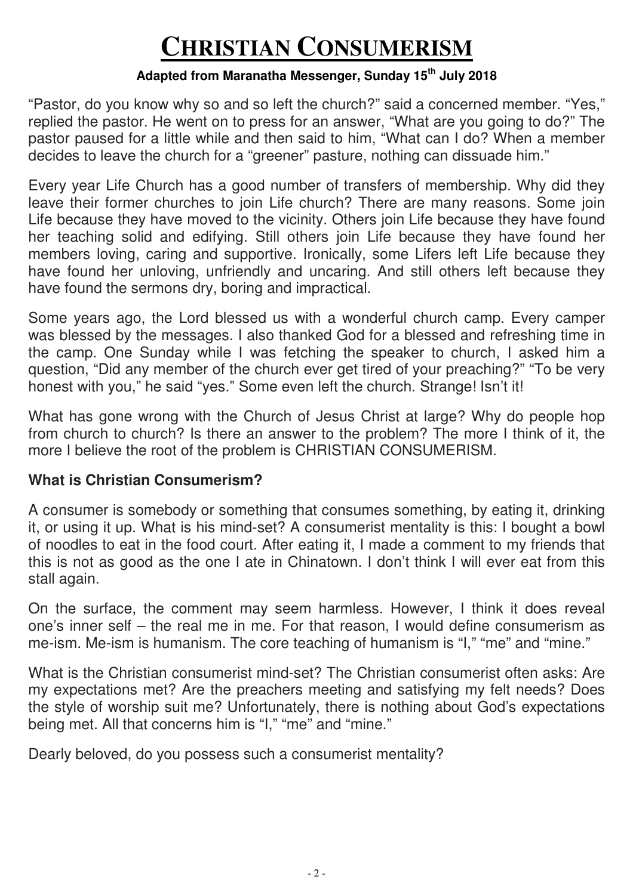# **CHRISTIAN CONSUMERISM**

## **Adapted from Maranatha Messenger, Sunday 15th July 2018**

"Pastor, do you know why so and so left the church?" said a concerned member. "Yes," replied the pastor. He went on to press for an answer, "What are you going to do?" The pastor paused for a little while and then said to him, "What can I do? When a member decides to leave the church for a "greener" pasture, nothing can dissuade him."

Every year Life Church has a good number of transfers of membership. Why did they leave their former churches to join Life church? There are many reasons. Some join Life because they have moved to the vicinity. Others join Life because they have found her teaching solid and edifying. Still others join Life because they have found her members loving, caring and supportive. Ironically, some Lifers left Life because they have found her unloving, unfriendly and uncaring. And still others left because they have found the sermons dry, boring and impractical.

Some years ago, the Lord blessed us with a wonderful church camp. Every camper was blessed by the messages. I also thanked God for a blessed and refreshing time in the camp. One Sunday while I was fetching the speaker to church, I asked him a question, "Did any member of the church ever get tired of your preaching?" "To be very honest with you," he said "yes." Some even left the church. Strange! Isn't it!

What has gone wrong with the Church of Jesus Christ at large? Why do people hop from church to church? Is there an answer to the problem? The more I think of it, the more I believe the root of the problem is CHRISTIAN CONSUMERISM.

### **What is Christian Consumerism?**

A consumer is somebody or something that consumes something, by eating it, drinking it, or using it up. What is his mind-set? A consumerist mentality is this: I bought a bowl of noodles to eat in the food court. After eating it, I made a comment to my friends that this is not as good as the one I ate in Chinatown. I don't think I will ever eat from this stall again.

On the surface, the comment may seem harmless. However, I think it does reveal one's inner self – the real me in me. For that reason, I would define consumerism as me-ism. Me-ism is humanism. The core teaching of humanism is "I," "me" and "mine."

What is the Christian consumerist mind-set? The Christian consumerist often asks: Are my expectations met? Are the preachers meeting and satisfying my felt needs? Does the style of worship suit me? Unfortunately, there is nothing about God's expectations being met. All that concerns him is "I," "me" and "mine."

Dearly beloved, do you possess such a consumerist mentality?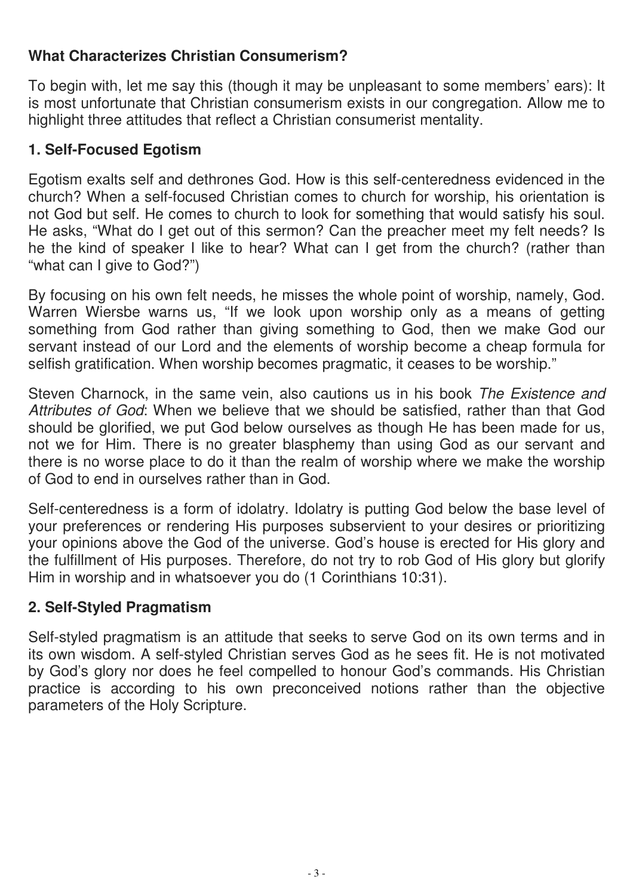# **What Characterizes Christian Consumerism?**

To begin with, let me say this (though it may be unpleasant to some members' ears): It is most unfortunate that Christian consumerism exists in our congregation. Allow me to highlight three attitudes that reflect a Christian consumerist mentality.

## **1. Self-Focused Egotism**

Egotism exalts self and dethrones God. How is this self-centeredness evidenced in the church? When a self-focused Christian comes to church for worship, his orientation is not God but self. He comes to church to look for something that would satisfy his soul. He asks, "What do I get out of this sermon? Can the preacher meet my felt needs? Is he the kind of speaker I like to hear? What can I get from the church? (rather than "what can I give to God?")

By focusing on his own felt needs, he misses the whole point of worship, namely, God. Warren Wiersbe warns us, "If we look upon worship only as a means of getting something from God rather than giving something to God, then we make God our servant instead of our Lord and the elements of worship become a cheap formula for selfish gratification. When worship becomes pragmatic, it ceases to be worship."

Steven Charnock, in the same vein, also cautions us in his book The Existence and Attributes of God: When we believe that we should be satisfied, rather than that God should be glorified, we put God below ourselves as though He has been made for us, not we for Him. There is no greater blasphemy than using God as our servant and there is no worse place to do it than the realm of worship where we make the worship of God to end in ourselves rather than in God.

Self-centeredness is a form of idolatry. Idolatry is putting God below the base level of your preferences or rendering His purposes subservient to your desires or prioritizing your opinions above the God of the universe. God's house is erected for His glory and the fulfillment of His purposes. Therefore, do not try to rob God of His glory but glorify Him in worship and in whatsoever you do (1 Corinthians 10:31).

## **2. Self-Styled Pragmatism**

Self-styled pragmatism is an attitude that seeks to serve God on its own terms and in its own wisdom. A self-styled Christian serves God as he sees fit. He is not motivated by God's glory nor does he feel compelled to honour God's commands. His Christian practice is according to his own preconceived notions rather than the objective parameters of the Holy Scripture.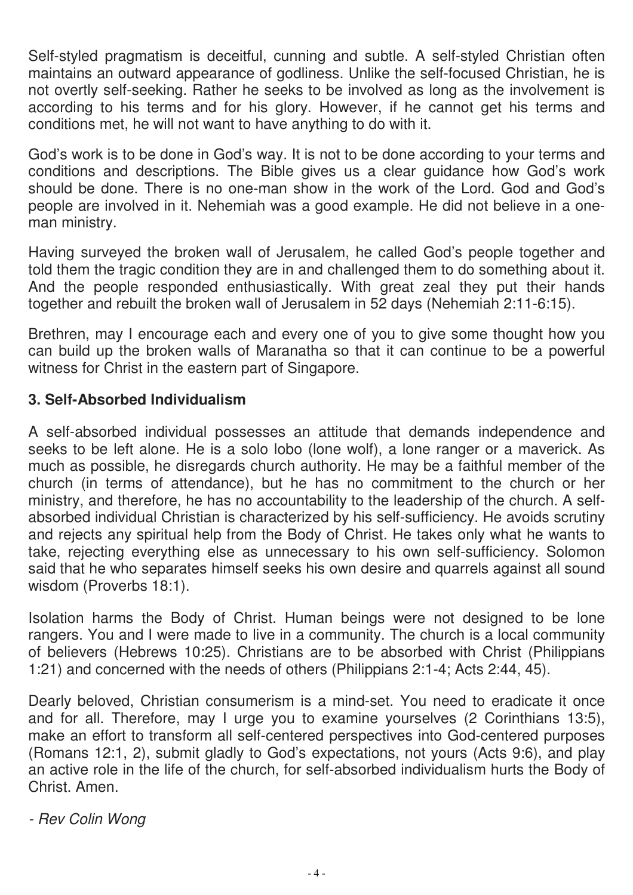Self-styled pragmatism is deceitful, cunning and subtle. A self-styled Christian often maintains an outward appearance of godliness. Unlike the self-focused Christian, he is not overtly self-seeking. Rather he seeks to be involved as long as the involvement is according to his terms and for his glory. However, if he cannot get his terms and conditions met, he will not want to have anything to do with it.

God's work is to be done in God's way. It is not to be done according to your terms and conditions and descriptions. The Bible gives us a clear guidance how God's work should be done. There is no one-man show in the work of the Lord. God and God's people are involved in it. Nehemiah was a good example. He did not believe in a oneman ministry.

Having surveyed the broken wall of Jerusalem, he called God's people together and told them the tragic condition they are in and challenged them to do something about it. And the people responded enthusiastically. With great zeal they put their hands together and rebuilt the broken wall of Jerusalem in 52 days (Nehemiah 2:11-6:15).

Brethren, may I encourage each and every one of you to give some thought how you can build up the broken walls of Maranatha so that it can continue to be a powerful witness for Christ in the eastern part of Singapore.

## **3. Self-Absorbed Individualism**

A self-absorbed individual possesses an attitude that demands independence and seeks to be left alone. He is a solo lobo (lone wolf), a lone ranger or a maverick. As much as possible, he disregards church authority. He may be a faithful member of the church (in terms of attendance), but he has no commitment to the church or her ministry, and therefore, he has no accountability to the leadership of the church. A selfabsorbed individual Christian is characterized by his self-sufficiency. He avoids scrutiny and rejects any spiritual help from the Body of Christ. He takes only what he wants to take, rejecting everything else as unnecessary to his own self-sufficiency. Solomon said that he who separates himself seeks his own desire and quarrels against all sound wisdom (Proverbs 18:1).

Isolation harms the Body of Christ. Human beings were not designed to be lone rangers. You and I were made to live in a community. The church is a local community of believers (Hebrews 10:25). Christians are to be absorbed with Christ (Philippians 1:21) and concerned with the needs of others (Philippians 2:1-4; Acts 2:44, 45).

Dearly beloved, Christian consumerism is a mind-set. You need to eradicate it once and for all. Therefore, may I urge you to examine yourselves (2 Corinthians 13:5), make an effort to transform all self-centered perspectives into God-centered purposes (Romans 12:1, 2), submit gladly to God's expectations, not yours (Acts 9:6), and play an active role in the life of the church, for self-absorbed individualism hurts the Body of Christ. Amen.

- Rev Colin Wong